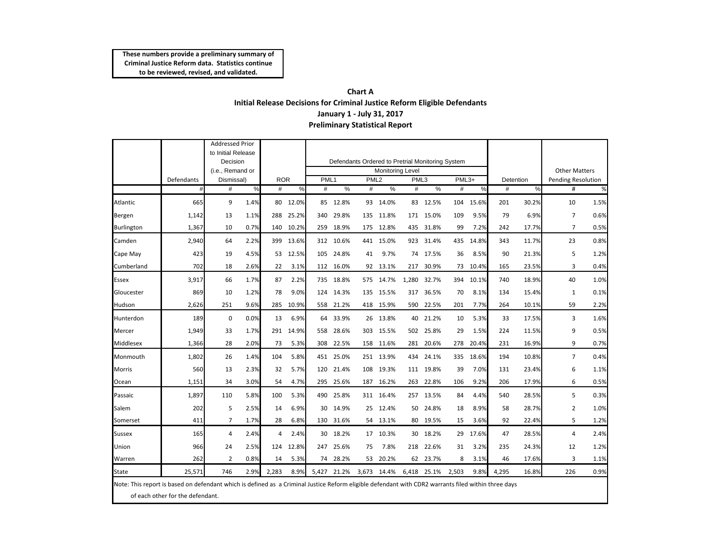## **Chart A Initial Release Decisions for Criminal Justice Reform Eligible Defendants January 1 ‐ July 31, 2017 Preliminary Statistical Report**

|                                                                                                                                                                                         |            | <b>Addressed Prior</b><br>to Initial Release |      |            |                                                  |                         |             |                  |             |       |             |       |          |           |                      |                           |      |
|-----------------------------------------------------------------------------------------------------------------------------------------------------------------------------------------|------------|----------------------------------------------|------|------------|--------------------------------------------------|-------------------------|-------------|------------------|-------------|-------|-------------|-------|----------|-----------|----------------------|---------------------------|------|
|                                                                                                                                                                                         |            | Decision<br>(i.e., Remand or<br>Dismissal)   |      |            | Defendants Ordered to Pretrial Monitoring System |                         |             |                  |             |       |             |       |          |           |                      |                           |      |
|                                                                                                                                                                                         |            |                                              |      |            |                                                  | <b>Monitoring Level</b> |             |                  |             |       |             |       |          |           | <b>Other Matters</b> |                           |      |
|                                                                                                                                                                                         | Defendants |                                              |      | <b>ROR</b> |                                                  | PML <sub>1</sub>        |             | PML <sub>2</sub> |             | PML3  |             | PML3+ |          | Detention |                      | <b>Pending Resolution</b> |      |
|                                                                                                                                                                                         | #          | #                                            | %    | #          | $\%$                                             | #                       | $\%$        | #                | $\%$        | #     | $\%$        | #     | %        | #         | %                    | #                         | %    |
| Atlantic                                                                                                                                                                                | 665        | 9                                            | 1.4% |            | 80 12.0%                                         |                         | 85 12.8%    |                  | 93 14.0%    |       | 83 12.5%    | 104   | 15.6%    | 201       | 30.2%                | 10                        | 1.5% |
| Bergen                                                                                                                                                                                  | 1,142      | 13                                           | 1.1% | 288        | 25.2%                                            | 340                     | 29.8%       | 135              | 11.8%       | 171   | 15.0%       | 109   | 9.5%     | 79        | 6.9%                 | $\overline{7}$            | 0.6% |
| <b>Burlington</b>                                                                                                                                                                       | 1,367      | 10                                           | 0.7% |            | 140 10.2%                                        |                         | 259 18.9%   |                  | 175 12.8%   |       | 435 31.8%   | 99    | 7.2%     | 242       | 17.7%                | $\overline{7}$            | 0.5% |
| Camden                                                                                                                                                                                  | 2,940      | 64                                           | 2.2% | 399        | 13.6%                                            |                         | 312 10.6%   |                  | 441 15.0%   | 923   | 31.4%       | 435   | 14.8%    | 343       | 11.7%                | 23                        | 0.8% |
| Cape May                                                                                                                                                                                | 423        | 19                                           | 4.5% | 53         | 12.5%                                            | 105                     | 24.8%       | 41               | 9.7%        | 74    | 17.5%       | 36    | 8.5%     | 90        | 21.3%                | 5                         | 1.2% |
| Cumberland                                                                                                                                                                              | 702        | 18                                           | 2.6% | 22         | 3.1%                                             |                         | 112 16.0%   |                  | 92 13.1%    | 217   | 30.9%       |       | 73 10.4% | 165       | 23.5%                | 3                         | 0.4% |
| <b>Essex</b>                                                                                                                                                                            | 3,917      | 66                                           | 1.7% | 87         | 2.2%                                             |                         | 735 18.8%   |                  | 575 14.7%   | 1,280 | 32.7%       | 394   | 10.1%    | 740       | 18.9%                | 40                        | 1.0% |
| Gloucester                                                                                                                                                                              | 869        | 10                                           | 1.2% | 78         | 9.0%                                             | 124                     | 14.3%       | 135              | 15.5%       | 317   | 36.5%       | 70    | 8.1%     | 134       | 15.4%                | $\mathbf{1}$              | 0.1% |
| Hudson                                                                                                                                                                                  | 2,626      | 251                                          | 9.6% | 285        | 10.9%                                            |                         | 558 21.2%   |                  | 418 15.9%   | 590   | 22.5%       | 201   | 7.7%     | 264       | 10.1%                | 59                        | 2.2% |
| Hunterdon                                                                                                                                                                               | 189        | $\mathbf 0$                                  | 0.0% | 13         | 6.9%                                             |                         | 64 33.9%    |                  | 26 13.8%    | 40    | 21.2%       | 10    | 5.3%     | 33        | 17.5%                | 3                         | 1.6% |
| Mercer                                                                                                                                                                                  | 1,949      | 33                                           | 1.7% | 291        | 14.9%                                            | 558                     | 28.6%       | 303              | 15.5%       | 502   | 25.8%       | 29    | 1.5%     | 224       | 11.5%                | 9                         | 0.5% |
| Middlesex                                                                                                                                                                               | 1.366      | 28                                           | 2.0% | 73         | 5.3%                                             |                         | 308 22.5%   |                  | 158 11.6%   | 281   | 20.6%       | 278   | 20.4%    | 231       | 16.9%                | 9                         | 0.7% |
| Monmouth                                                                                                                                                                                | 1,802      | 26                                           | 1.4% | 104        | 5.8%                                             |                         | 451 25.0%   |                  | 251 13.9%   | 434   | 24.1%       | 335   | 18.6%    | 194       | 10.8%                | $\overline{7}$            | 0.4% |
| Morris                                                                                                                                                                                  | 560        | 13                                           | 2.3% | 32         | 5.7%                                             | 120                     | 21.4%       | 108              | 19.3%       | 111   | 19.8%       | 39    | 7.0%     | 131       | 23.4%                | 6                         | 1.1% |
| Ocean                                                                                                                                                                                   | 1,151      | 34                                           | 3.0% | 54         | 4.7%                                             | 295                     | 25.6%       | 187              | 16.2%       | 263   | 22.8%       | 106   | 9.2%     | 206       | 17.9%                | 6                         | 0.5% |
| Passaic                                                                                                                                                                                 | 1,897      | 110                                          | 5.8% | 100        | 5.3%                                             | 490                     | 25.8%       |                  | 311 16.4%   |       | 257 13.5%   | 84    | 4.4%     | 540       | 28.5%                | 5                         | 0.3% |
| Salem                                                                                                                                                                                   | 202        | 5                                            | 2.5% | 14         | 6.9%                                             | 30                      | 14.9%       | 25               | 12.4%       | 50    | 24.8%       | 18    | 8.9%     | 58        | 28.7%                | $\overline{2}$            | 1.0% |
| Somerset                                                                                                                                                                                | 411        | 7                                            | 1.7% | 28         | 6.8%                                             |                         | 130 31.6%   |                  | 54 13.1%    | 80    | 19.5%       | 15    | 3.6%     | 92        | 22.4%                | 5                         | 1.2% |
| <b>Sussex</b>                                                                                                                                                                           | 165        | $\overline{4}$                               | 2.4% | 4          | 2.4%                                             |                         | 30 18.2%    |                  | 17 10.3%    | 30    | 18.2%       | 29    | 17.6%    | 47        | 28.5%                | $\overline{4}$            | 2.4% |
| Union                                                                                                                                                                                   | 966        | 24                                           | 2.5% | 124        | 12.8%                                            | 247                     | 25.6%       | 75               | 7.8%        | 218   | 22.6%       | 31    | 3.2%     | 235       | 24.3%                | 12                        | 1.2% |
| Warren                                                                                                                                                                                  | 262        | $\overline{2}$                               | 0.8% | 14         | 5.3%                                             | 74                      | 28.2%       | 53               | 20.2%       | 62    | 23.7%       | 8     | 3.1%     | 46        | 17.6%                | 3                         | 1.1% |
| State                                                                                                                                                                                   | 25,571     | 746                                          | 2.9% | 2,283      | 8.9%                                             |                         | 5,427 21.2% |                  | 3,673 14.4% |       | 6,418 25.1% | 2,503 | 9.8%     | 4,295     | 16.8%                | 226                       | 0.9% |
| Note: This report is based on defendant which is defined as a Criminal Justice Reform eligible defendant with CDR2 warrants filed within three days<br>of each other for the defendant. |            |                                              |      |            |                                                  |                         |             |                  |             |       |             |       |          |           |                      |                           |      |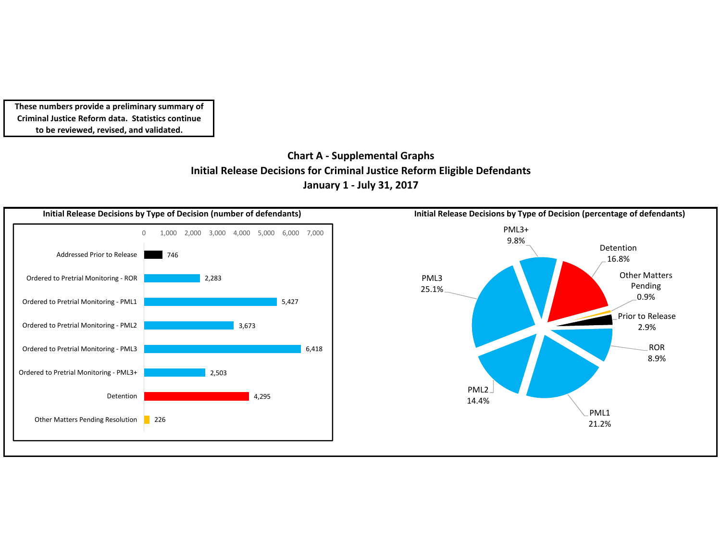# **Chart A ‐ Supplemental Graphs Initial Release Decisions for Criminal Justice Reform Eligible Defendants January 1 ‐ July 31, 2017**

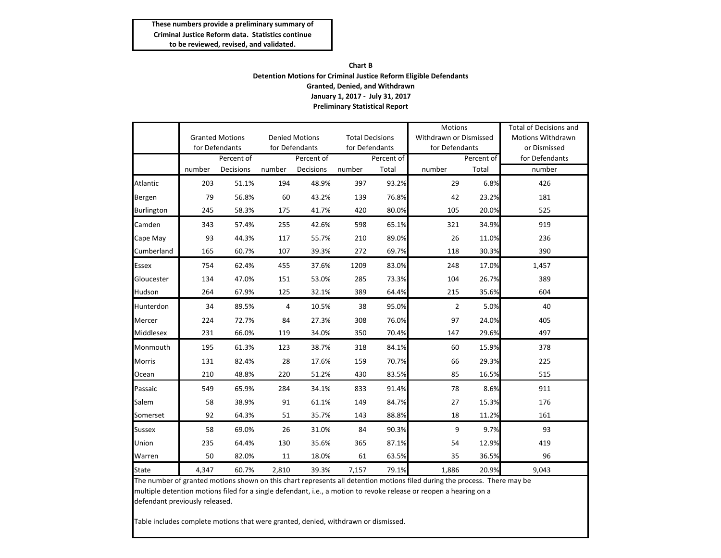#### **Chart B Detention Motions for Criminal Justice Reform Eligible Defendants Granted, Denied, and Withdrawn January 1, 2017 ‐ July 31, 2017 Preliminary Statistical Report**

|                   |                                          |           |            |                       |                        |            | <b>Motions</b>         |            | Total of Decisions and                   |  |
|-------------------|------------------------------------------|-----------|------------|-----------------------|------------------------|------------|------------------------|------------|------------------------------------------|--|
|                   | <b>Granted Motions</b><br>for Defendants |           |            | <b>Denied Motions</b> | <b>Total Decisions</b> |            | Withdrawn or Dismissed |            | <b>Motions Withdrawn</b><br>or Dismissed |  |
|                   |                                          |           |            | for Defendants        | for Defendants         |            | for Defendants         |            |                                          |  |
|                   | Percent of                               |           | Percent of |                       |                        | Percent of |                        | Percent of | for Defendants                           |  |
|                   | number                                   | Decisions | number     | Decisions             | number                 | Total      | number                 | Total      | number                                   |  |
| Atlantic          | 203                                      | 51.1%     | 194        | 48.9%                 | 397                    | 93.2%      | 29                     | 6.8%       | 426                                      |  |
| Bergen            | 79                                       | 56.8%     | 60         | 43.2%                 | 139                    | 76.8%      | 42                     | 23.2%      | 181                                      |  |
| <b>Burlington</b> | 245                                      | 58.3%     | 175        | 41.7%                 | 420                    | 80.0%      | 105                    | 20.0%      | 525                                      |  |
| Camden            | 343                                      | 57.4%     | 255        | 42.6%                 | 598                    | 65.1%      | 321                    | 34.9%      | 919                                      |  |
| Cape May          | 93                                       | 44.3%     | 117        | 55.7%                 | 210                    | 89.0%      | 26                     | 11.0%      | 236                                      |  |
| Cumberland        | 165                                      | 60.7%     | 107        | 39.3%                 | 272                    | 69.7%      | 118                    | 30.3%      | 390                                      |  |
| <b>Essex</b>      | 754                                      | 62.4%     | 455        | 37.6%                 | 1209                   | 83.0%      | 248                    | 17.0%      | 1,457                                    |  |
| Gloucester        | 134                                      | 47.0%     | 151        | 53.0%                 | 285                    | 73.3%      | 104                    | 26.7%      | 389                                      |  |
| Hudson            | 264                                      | 67.9%     | 125        | 32.1%                 | 389                    | 64.4%      | 215                    | 35.6%      | 604                                      |  |
| Hunterdon         | 34                                       | 89.5%     | 4          | 10.5%                 | 38                     | 95.0%      | $\overline{2}$         | 5.0%       | 40                                       |  |
| Mercer            | 224                                      | 72.7%     | 84         | 27.3%                 | 308                    | 76.0%      | 97                     | 24.0%      | 405                                      |  |
| Middlesex         | 231                                      | 66.0%     | 119        | 34.0%                 | 350                    | 70.4%      | 147                    | 29.6%      | 497                                      |  |
| Monmouth          | 195                                      | 61.3%     | 123        | 38.7%                 | 318                    | 84.1%      | 60                     | 15.9%      | 378                                      |  |
| <b>Morris</b>     | 131                                      | 82.4%     | 28         | 17.6%                 | 159                    | 70.7%      | 66                     | 29.3%      | 225                                      |  |
| Ocean             | 210                                      | 48.8%     | 220        | 51.2%                 | 430                    | 83.5%      | 85                     | 16.5%      | 515                                      |  |
| Passaic           | 549                                      | 65.9%     | 284        | 34.1%                 | 833                    | 91.4%      | 78                     | 8.6%       | 911                                      |  |
| Salem             | 58                                       | 38.9%     | 91         | 61.1%                 | 149                    | 84.7%      | 27                     | 15.3%      | 176                                      |  |
| Somerset          | 92                                       | 64.3%     | 51         | 35.7%                 | 143                    | 88.8%      | 18                     | 11.2%      | 161                                      |  |
| <b>Sussex</b>     | 58                                       | 69.0%     | 26         | 31.0%                 | 84                     | 90.3%      | 9                      | 9.7%       | 93                                       |  |
| Union             | 235                                      | 64.4%     | 130        | 35.6%                 | 365                    | 87.1%      | 54                     | 12.9%      | 419                                      |  |
| Warren            | 50                                       | 82.0%     | 11         | 18.0%                 | 61                     | 63.5%      | 35                     | 36.5%      | 96                                       |  |
| State             | 4,347                                    | 60.7%     | 2,810      | 39.3%                 | 7,157                  | 79.1%      | 1,886                  | 20.9%      | 9,043                                    |  |

The number of granted motions shown on this chart represents all detention motions filed during the process. There may be multiple detention motions filed for <sup>a</sup> single defendant, i.e., <sup>a</sup> motion to revoke release or reopen <sup>a</sup> hearing on <sup>a</sup> defendant previously released.

Table includes complete motions that were granted, denied, withdrawn or dismissed.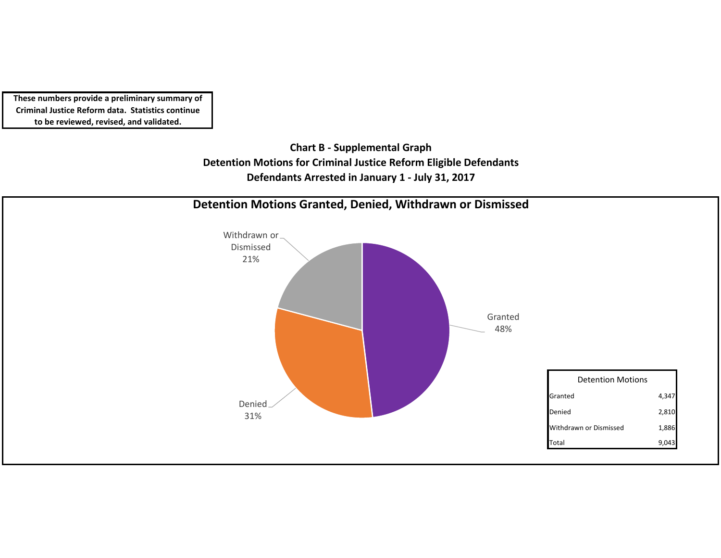> **Chart B ‐ Supplemental Graph Detention Motions for Criminal Justice Reform Eligible Defendants Defendants Arrested in January 1 ‐ July 31, 2017**

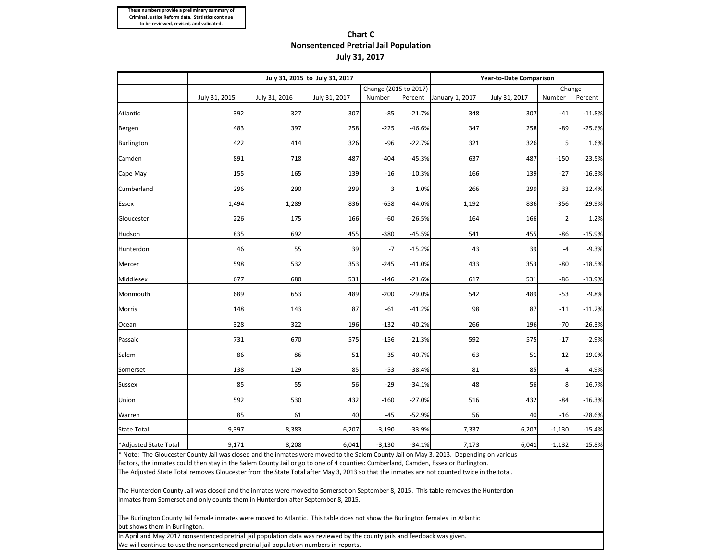## **Chart CNonsentenced Pretrial Jail Population July 31, 2017**

|                       |               |               | July 31, 2015 to July 31, 2017 | Year-to-Date Comparison |          |                 |               |          |          |
|-----------------------|---------------|---------------|--------------------------------|-------------------------|----------|-----------------|---------------|----------|----------|
|                       |               |               |                                | Change (2015 to 2017)   |          |                 |               | Change   |          |
|                       | July 31, 2015 | July 31, 2016 | July 31, 2017                  | Number                  | Percent  | January 1, 2017 | July 31, 2017 | Number   | Percent  |
| Atlantic              | 392           | 327           | 307                            | $-85$                   | $-21.7%$ | 348             | 307           | $-41$    | $-11.8%$ |
| Bergen                | 483           | 397           | 258                            | $-225$                  | $-46.6%$ | 347             | 258           | $-89$    | $-25.6%$ |
| Burlington            | 422           | 414           | 326                            | $-96$                   | $-22.7%$ | 321             | 326           | 5        | 1.6%     |
| Camden                | 891           | 718           | 487                            | $-404$                  | $-45.3%$ | 637             | 487           | $-150$   | $-23.5%$ |
| Cape May              | 155           | 165           | 139                            | $-16$                   | $-10.3%$ | 166             | 139           | $-27$    | $-16.3%$ |
| Cumberland            | 296           | 290           | 299                            | 3                       | 1.0%     | 266             | 299           | 33       | 12.4%    |
| <b>Essex</b>          | 1,494         | 1,289         | 836                            | $-658$                  | $-44.0%$ | 1,192           | 836           | $-356$   | $-29.9%$ |
| Gloucester            | 226           | 175           | 166                            | $-60$                   | $-26.5%$ | 164             | 166           | 2        | 1.2%     |
| Hudson                | 835           | 692           | 455                            | $-380$                  | $-45.5%$ | 541             | 455           | $-86$    | $-15.9%$ |
| Hunterdon             | 46            | 55            | 39                             | $-7$                    | $-15.2%$ | 43              | 39            | $-4$     | $-9.3%$  |
| Mercer                | 598           | 532           | 353                            | $-245$                  | $-41.0%$ | 433             | 353           | -80      | $-18.5%$ |
| Middlesex             | 677           | 680           | 531                            | $-146$                  | $-21.6%$ | 617             | 531           | -86      | $-13.9%$ |
| Monmouth              | 689           | 653           | 489                            | $-200$                  | $-29.0%$ | 542             | 489           | -53      | $-9.8%$  |
| <b>Morris</b>         | 148           | 143           | 87                             | -61                     | $-41.2%$ | 98              | 87            | $-11$    | $-11.2%$ |
| Ocean                 | 328           | 322           | 196                            | $-132$                  | $-40.2%$ | 266             | 196           | $-70$    | $-26.3%$ |
| Passaic               | 731           | 670           | 575                            | $-156$                  | $-21.3%$ | 592             | 575           | $-17$    | $-2.9%$  |
| Salem                 | 86            | 86            | 51                             | $-35$                   | $-40.7%$ | 63              | 51            | $-12$    | $-19.0%$ |
| Somerset              | 138           | 129           | 85                             | $-53$                   | $-38.4%$ | 81              | 85            | 4        | 4.9%     |
| <b>Sussex</b>         | 85            | 55            | 56                             | $-29$                   | $-34.1%$ | 48              | 56            | 8        | 16.7%    |
| Union                 | 592           | 530           | 432                            | $-160$                  | $-27.0%$ | 516             | 432           | -84      | $-16.3%$ |
| Warren                | 85            | 61            | 40                             | $-45$                   | $-52.9%$ | 56              | 40            | -16      | $-28.6%$ |
| <b>State Total</b>    | 9,397         | 8,383         | 6,207                          | $-3,190$                | $-33.9%$ | 7,337           | 6,207         | $-1,130$ | $-15.4%$ |
| *Adjusted State Total | 9,171         | 8,208         | 6,041                          | $-3,130$                | $-34.1%$ | 7,173           | 6,041         | $-1,132$ | $-15.8%$ |

\* Note: The Gloucester County Jail was closed and the inmates were moved to the Salem County Jail on May 3, 2013. Depending on various factors, the inmates could then stay in the Salem County Jail or go to one of 4 counties: Cumberland, Camden, Essex or Burlington.

The Adjusted State Total removes Gloucester from the State Total after May 3, 2013 so that the inmates are not counted twice in the total.

The Hunterdon County Jail was closed and the inmates were moved to Somerset on September 8, 2015. This table removes the Hunterdon inmates from Somerset and only counts them in Hunterdon after September 8, 2015.

The Burlington County Jail female inmates were moved to Atlantic. This table does not show the Burlington females in Atlantic but shows them in Burlington.

In April and May 2017 nonsentenced pretrial jail population data was reviewed by the county jails and feedback was given. We will continue to use the nonsentenced pretrial jail population numbers in reports.